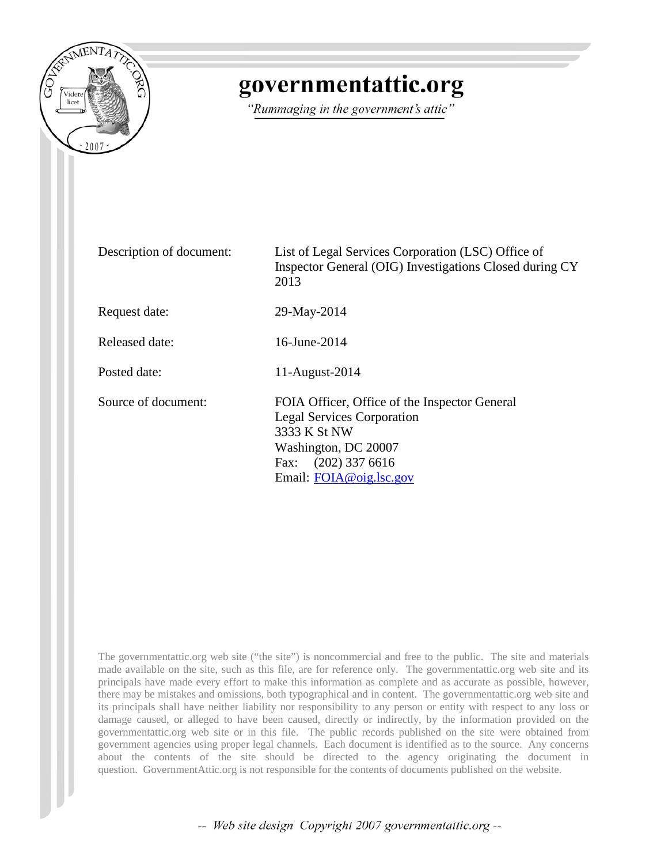

## governmentattic.org

"Rummaging in the government's attic"

| Description of document: | List of Legal Services Corporation (LSC) Office of<br>Inspector General (OIG) Investigations Closed during CY<br>2013                                                          |
|--------------------------|--------------------------------------------------------------------------------------------------------------------------------------------------------------------------------|
| Request date:            | 29-May-2014                                                                                                                                                                    |
| Released date:           | 16-June-2014                                                                                                                                                                   |
| Posted date:             | 11-August-2014                                                                                                                                                                 |
| Source of document:      | FOIA Officer, Office of the Inspector General<br><b>Legal Services Corporation</b><br>3333 K St NW<br>Washington, DC 20007<br>Fax: $(202)$ 337 6616<br>Email: FOIA@oig.lsc.gov |

The governmentattic.org web site ("the site") is noncommercial and free to the public. The site and materials made available on the site, such as this file, are for reference only. The governmentattic.org web site and its principals have made every effort to make this information as complete and as accurate as possible, however, there may be mistakes and omissions, both typographical and in content. The governmentattic.org web site and its principals shall have neither liability nor responsibility to any person or entity with respect to any loss or damage caused, or alleged to have been caused, directly or indirectly, by the information provided on the governmentattic.org web site or in this file. The public records published on the site were obtained from government agencies using proper legal channels. Each document is identified as to the source. Any concerns about the contents of the site should be directed to the agency originating the document in question. GovernmentAttic.org is not responsible for the contents of documents published on the website.

-- Web site design Copyright 2007 governmentattic.org --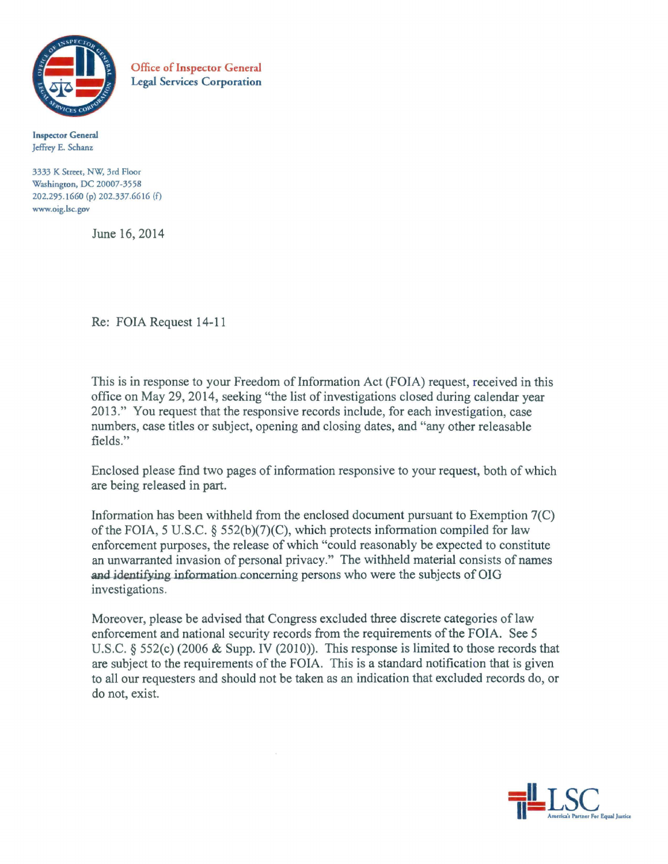

Office of Inspector General Legal Services Corporation

Inspector General Jeffrey E. Schanz

3333 K Street, NW, 3rd Floor Washingcon, DC 20007-3558 202.295.1 660 (p) 202.337.6616 (f) www.oig.lsc.gov

June 16, 2014

Re: FOIA Request 14-11

This is in response to your Freedom of Information Act (FOIA) request, received in this office on May 29, 2014, seeking "the list of investigations closed during calendar year 2013." You request that the responsive records include, for each investigation, case numbers, case titles or subject, opening and closing dates, and "any other releasable fields."

Enclosed please find two pages of information responsive to your request, both of which are being released in part.

Information has been withheld from the enclosed document pursuant to Exemption 7(C) of the FOIA, 5 U.S.C. § 552(b)(7)(C), which protects information compiled for law enforcement purposes, the release of which "could reasonably be expected to constitute an unwarranted invasion of personal privacy." The withheld material consists of names and identifying information concerning persons who were the subjects of OIG investigations.

Moreover, please be advised that Congress excluded three discrete categories of law enforcement and national security records from the requirements of the FOIA. See 5 U.S.C. § 552(c) (2006 & Supp. IV (2010)). This response is limited to those records that are subject to the requirements of the FOIA. This is a standard notification that is given to all our requesters and should not be taken as an indication that excluded records do, or do not, exist.

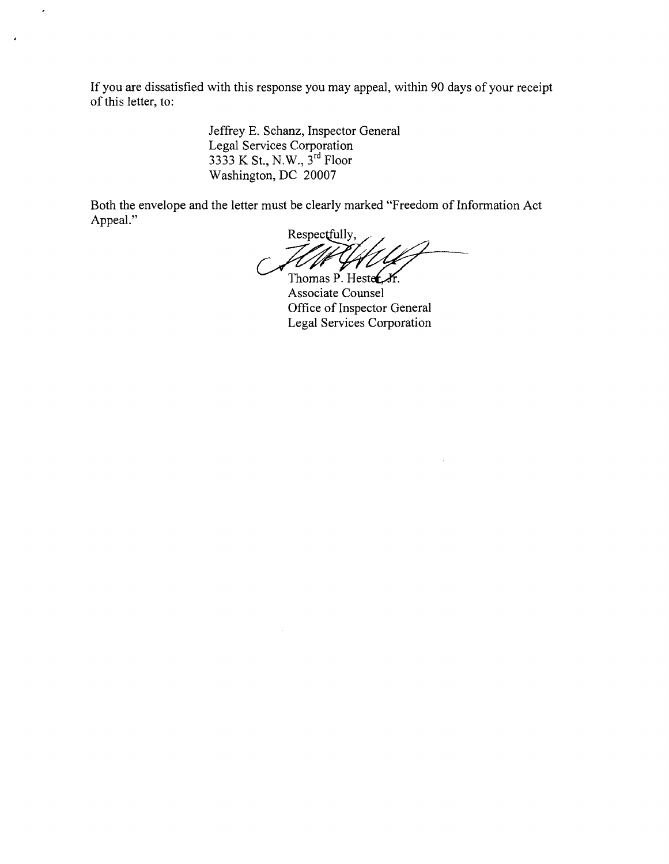If you are dissatisfied with this response you may appeal, within 90 days of your receipt of this letter, to:

> Jeffrey E. Schanz, Inspector General Legal Services Corporation 3333 K St., N.W., 3<sup>rd</sup> Floor Washington, DC 20007

 $\overline{\phantom{a}}$ 

Both the envelope and the letter must be clearly marked "Freedom of Information Act Appeal."

Respectfully,

Thomas P. Hester, Jr. Associate Counsel Office of Inspector General Legal Services Corporation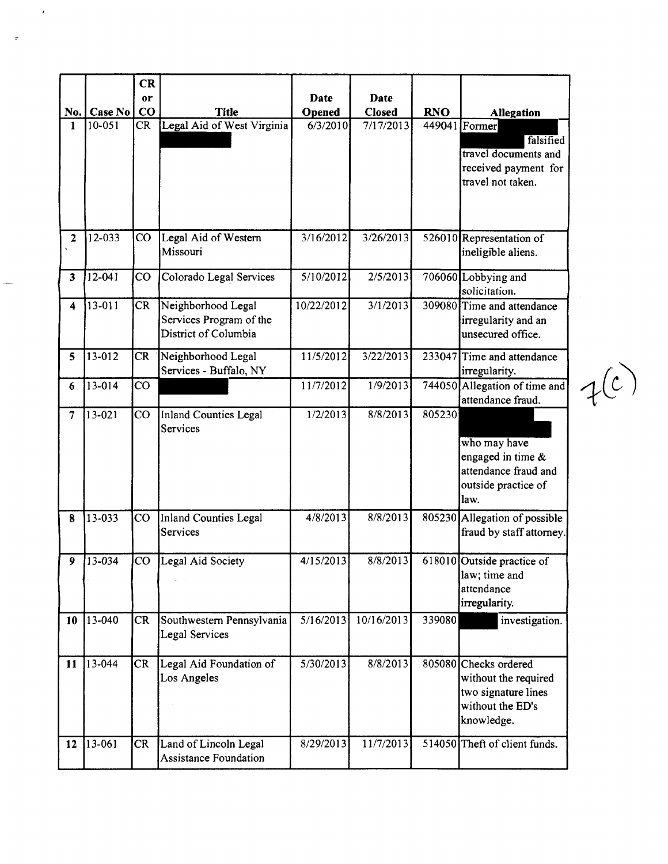|                         |            | <b>CR</b>       |                                                                       |            |            |            |                                                                                                        |
|-------------------------|------------|-----------------|-----------------------------------------------------------------------|------------|------------|------------|--------------------------------------------------------------------------------------------------------|
|                         |            | <sub>or</sub>   |                                                                       | Date       | Date       |            |                                                                                                        |
| No.                     | Case No    | $\bf{CO}$       | <b>Title</b>                                                          | Opened     | Closed     | <b>RNO</b> | <b>Allegation</b>                                                                                      |
| 1                       | 10-051     | CR              | Legal Aid of West Virginia                                            | 6/3/2010   | 7/17/2013  |            | 449041 Former<br>falsified<br>travel documents and<br>received payment for<br>travel not taken.        |
| $\overline{2}$          | 12-033     | $\rm CO$        | Legal Aid of Western<br>Missouri                                      | 3/16/2012  | 3/26/2013  |            | 526010 Representation of<br>ineligible aliens.                                                         |
| $\overline{\mathbf{3}}$ | $12 - 041$ | $\overline{C}O$ | Colorado Legal Services                                               | 5/10/2012  | 2/5/2013   |            | 706060 Lobbying and<br>solicitation.                                                                   |
| $\overline{\mathbf{4}}$ | 13-011     | <b>CR</b>       | Neighborhood Legal<br>Services Program of the<br>District of Columbia | 10/22/2012 | 3/1/2013   |            | 309080 Time and attendance<br>irregularity and an<br>unsecured office.                                 |
| 5                       | 13-012     | <b>CR</b>       | Neighborhood Legal<br>Services - Buffalo, NY                          | 11/5/2012  | 3/22/2013  | 233047     | Time and attendance<br>irregularity.                                                                   |
| 6                       | 13-014     | $\overline{c}$  |                                                                       | 11/7/2012  | 1/9/2013   |            | 744050 Allegation of time and<br>attendance fraud.                                                     |
| $\overline{7}$          | 13-021     | $\overline{c}$  | Inland Counties Legal<br>Services                                     | 1/2/2013   | 8/8/2013   | 805230     | who may have<br>engaged in time &<br>attendance fraud and<br>outside practice of<br>law.               |
| 8                       | 13-033     | $\overline{c}$  | Inland Counties Legal<br>Services                                     | 4/8/2013   | 8/8/2013   |            | 805230 Allegation of possible<br>fraud by staff attorney.                                              |
| 9                       | $13 - 034$ | $\rm{CO}$       | Legal Aid Society                                                     | 4/15/2013  | 8/8/2013   |            | 618010 Outside practice of<br>law; time and<br>attendance<br>irregularity.                             |
| 10                      | 13-040     | <b>CR</b>       | Southwestern Pennsylvania<br>Legal Services                           | 5/16/2013  | 10/16/2013 | 339080     | investigation.                                                                                         |
| 11                      | 13-044     | CR              | Legal Aid Foundation of<br>Los Angeles                                | 5/30/2013  | 8/8/2013   |            | 805080 Checks ordered<br>without the required<br>two signature lines<br>without the ED's<br>knowledge. |
| 12                      | 13-061     | <b>CR</b>       | Land of Lincoln Legal<br><b>Assistance Foundation</b>                 | 8/29/2013  | 11/7/2013  |            | 514050 Theft of client funds.                                                                          |

 $\hat{\mathcal{E}}$ 

 $\sigma$ 

 $f(c)$